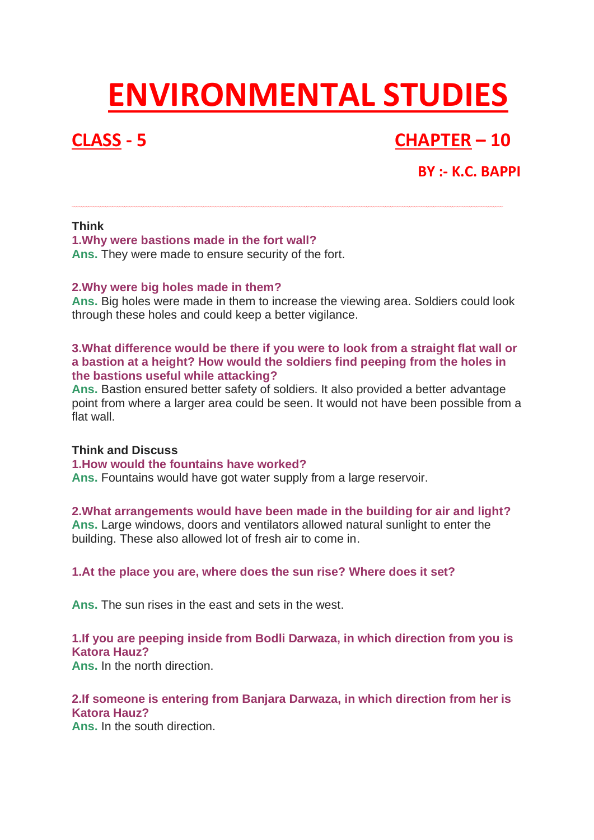# **ENVIRONMENTAL STUDIES**

## **CLASS - 5 CHAPTER – 10**

### **BY :- K.C. BAPPI**

#### **Think**

**1.Why were bastions made in the fort wall?**

**Ans.** They were made to ensure security of the fort.

#### **2.Why were big holes made in them?**

**Ans.** Big holes were made in them to increase the viewing area. Soldiers could look through these holes and could keep a better vigilance.

#### **3.What difference would be there if you were to look from a straight flat wall or a bastion at a height? How would the soldiers find peeping from the holes in the bastions useful while attacking?**

**Ans.** Bastion ensured better safety of soldiers. It also provided a better advantage point from where a larger area could be seen. It would not have been possible from a flat wall.

#### **Think and Discuss**

#### **1.How would the fountains have worked?**

**Ans.** Fountains would have got water supply from a large reservoir.

#### **2.What arrangements would have been made in the building for air and light?**

**Ans.** Large windows, doors and ventilators allowed natural sunlight to enter the building. These also allowed lot of fresh air to come in.

#### **1.At the place you are, where does the sun rise? Where does it set?**

**Ans.** The sun rises in the east and sets in the west.

#### **1.If you are peeping inside from Bodli Darwaza, in which direction from you is Katora Hauz?**

**Ans.** In the north direction.

#### **2.If someone is entering from Banjara Darwaza, in which direction from her is Katora Hauz?**

**Ans.** In the south direction.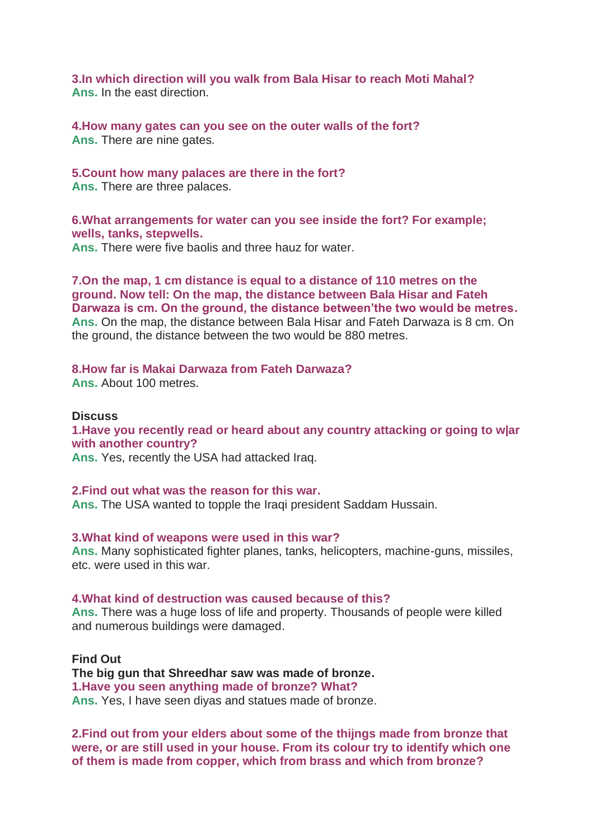**3.In which direction will you walk from Bala Hisar to reach Moti Mahal? Ans.** In the east direction.

**4.How many gates can you see on the outer walls of the fort? Ans.** There are nine gates.

#### **5.Count how many palaces are there in the fort?**

**Ans.** There are three palaces.

**6.What arrangements for water can you see inside the fort? For example; wells, tanks, stepwells.**

**Ans.** There were five baolis and three hauz for water.

**7.On the map, 1 cm distance is equal to a distance of 110 metres on the ground. Now tell: On the map, the distance between Bala Hisar and Fateh Darwaza is cm. On the ground, the distance between'the two would be metres. Ans.** On the map, the distance between Bala Hisar and Fateh Darwaza is 8 cm. On the ground, the distance between the two would be 880 metres.

#### **8.How far is Makai Darwaza from Fateh Darwaza? Ans.** About 100 metres.

**Discuss 1.Have you recently read or heard about any country attacking or going to w|ar with another country? Ans.** Yes, recently the USA had attacked Iraq.

#### **2.Find out what was the reason for this war.**

**Ans.** The USA wanted to topple the Iraqi president Saddam Hussain.

**3.What kind of weapons were used in this war?**

**Ans.** Many sophisticated fighter planes, tanks, helicopters, machine-guns, missiles, etc. were used in this war.

#### **4.What kind of destruction was caused because of this?**

**Ans.** There was a huge loss of life and property. Thousands of people were killed and numerous buildings were damaged.

**Find Out The big gun that Shreedhar saw was made of bronze. 1.Have you seen anything made of bronze? What? Ans.** Yes, I have seen diyas and statues made of bronze.

**2.Find out from your elders about some of the thijngs made from bronze that were, or are still used in your house. From its colour try to identify which one of them is made from copper, which from brass and which from bronze?**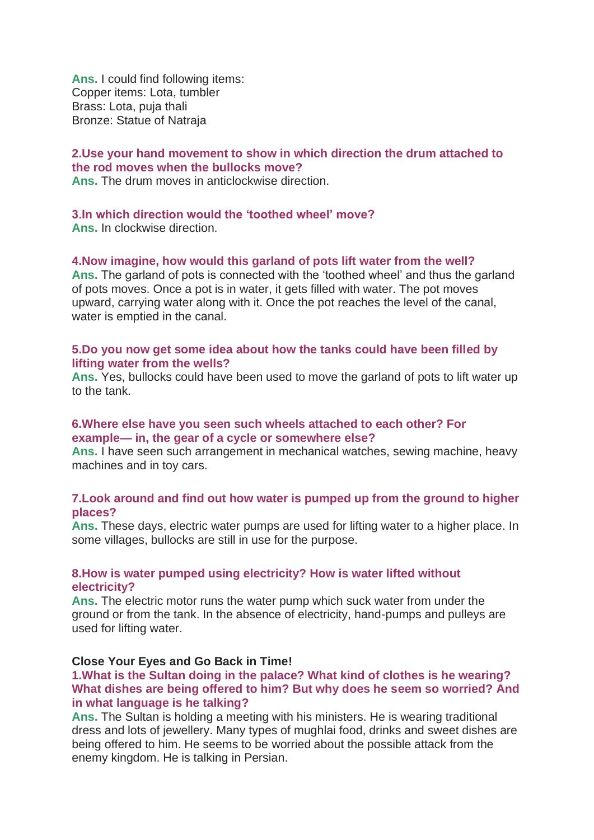**Ans.** I could find following items: Copper items: Lota, tumbler Brass: Lota, puja thali Bronze: Statue of Natraja

#### **2.Use your hand movement to show in which direction the drum attached to the rod moves when the bullocks move?**

**Ans.** The drum moves in anticlockwise direction.

#### **3.In which direction would the 'toothed wheel' move?**

**Ans.** In clockwise direction.

#### **4.Now imagine, how would this garland of pots lift water from the well?**

**Ans.** The garland of pots is connected with the 'toothed wheel' and thus the garland of pots moves. Once a pot is in water, it gets filled with water. The pot moves upward, carrying water along with it. Once the pot reaches the level of the canal, water is emptied in the canal.

#### **5.Do you now get some idea about how the tanks could have been filled by lifting water from the wells?**

**Ans.** Yes, bullocks could have been used to move the garland of pots to lift water up to the tank.

#### **6.Where else have you seen such wheels attached to each other? For example— in, the gear of a cycle or somewhere else?**

**Ans.** I have seen such arrangement in mechanical watches, sewing machine, heavy machines and in toy cars.

#### **7.Look around and find out how water is pumped up from the ground to higher places?**

**Ans.** These days, electric water pumps are used for lifting water to a higher place. In some villages, bullocks are still in use for the purpose.

#### **8.How is water pumped using electricity? How is water lifted without electricity?**

**Ans.** The electric motor runs the water pump which suck water from under the ground or from the tank. In the absence of electricity, hand-pumps and pulleys are used for lifting water.

#### **Close Your Eyes and Go Back in Time!**

#### **1.What is the Sultan doing in the palace? What kind of clothes is he wearing? What dishes are being offered to him? But why does he seem so worried? And in what language is he talking?**

**Ans.** The Sultan is holding a meeting with his ministers. He is wearing traditional dress and lots of jewellery. Many types of mughlai food, drinks and sweet dishes are being offered to him. He seems to be worried about the possible attack from the enemy kingdom. He is talking in Persian.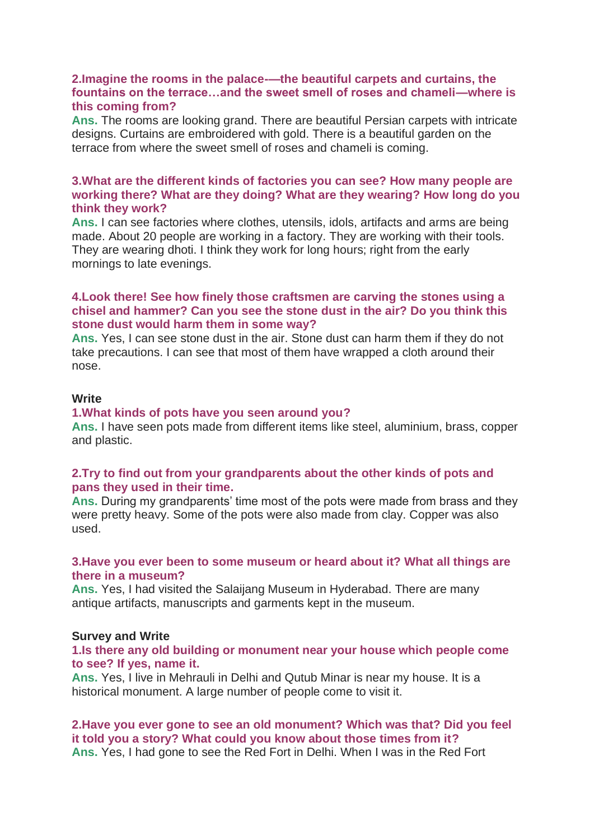#### **2.Imagine the rooms in the palace-—the beautiful carpets and curtains, the fountains on the terrace…and the sweet smell of roses and chameli—where is this coming from?**

**Ans.** The rooms are looking grand. There are beautiful Persian carpets with intricate designs. Curtains are embroidered with gold. There is a beautiful garden on the terrace from where the sweet smell of roses and chameli is coming.

#### **3.What are the different kinds of factories you can see? How many people are working there? What are they doing? What are they wearing? How long do you think they work?**

**Ans.** I can see factories where clothes, utensils, idols, artifacts and arms are being made. About 20 people are working in a factory. They are working with their tools. They are wearing dhoti. I think they work for long hours; right from the early mornings to late evenings.

#### **4.Look there! See how finely those craftsmen are carving the stones using a chisel and hammer? Can you see the stone dust in the air? Do you think this stone dust would harm them in some way?**

**Ans.** Yes, I can see stone dust in the air. Stone dust can harm them if they do not take precautions. I can see that most of them have wrapped a cloth around their nose.

#### **Write**

#### **1.What kinds of pots have you seen around you?**

**Ans.** I have seen pots made from different items like steel, aluminium, brass, copper and plastic.

#### **2.Try to find out from your grandparents about the other kinds of pots and pans they used in their time.**

**Ans.** During my grandparents' time most of the pots were made from brass and they were pretty heavy. Some of the pots were also made from clay. Copper was also used.

#### **3.Have you ever been to some museum or heard about it? What all things are there in a museum?**

**Ans.** Yes, I had visited the Salaijang Museum in Hyderabad. There are many antique artifacts, manuscripts and garments kept in the museum.

#### **Survey and Write**

#### **1.Is there any old building or monument near your house which people come to see? If yes, name it.**

**Ans.** Yes, I live in Mehrauli in Delhi and Qutub Minar is near my house. It is a historical monument. A large number of people come to visit it.

#### **2.Have you ever gone to see an old monument? Which was that? Did you feel it told you a story? What could you know about those times from it? Ans.** Yes, I had gone to see the Red Fort in Delhi. When I was in the Red Fort